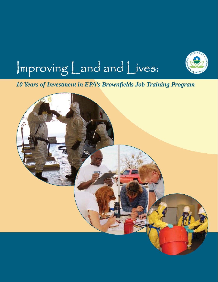



# *10 Years of Investment in EPA's Brownfields Job Training Program*

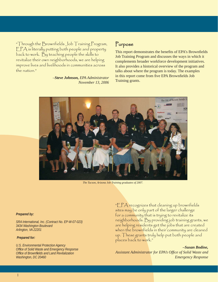"Through the Brownfields Job Training Program, EPA is literally putting both people and property back to work. By teaching people the skills to revitalize their own neighborhoods, we are helping improve lives and livelihoods in communities across the nation."

> –*Steve Johnson, EPA Administrator November 13, 2006*

### Purpose

This report demonstrates the benefits of EPA's Brownfields Job Training Program and discusses the ways in which it complements broader workforce development initiatives. It also provides a historical overview of the program and talks about where the program is today. The examples in this report come from five EPA Brownfields Job Training grants.



*The Tucson, Arizona Job Training graduates of 2007.* 

### *Prepared by:*

*SRA International, Inc. (Contract No. EP-W-07-023) 3434 Washington Boulevard Arlington, VA 22201* 

### *Prepared for:*

*U.S. Environmental Protection Agency Office of Solid Waste and Emergency Response Office of Brownfields and Land Revitalization Washington, DC 20460* 

"EPA recognizes that cleaning up brownfields sites may be only part of the larger challenge for a community that is trying to revitalize its neighborhoods. By providing job training grants, we are helping residents get the jobs that are created when the brownfields in their community are cleaned up. These grants truly help put both people and places back to work."

*–Susan Bodine,*  Assistant Administrator for EPA's Office of Solid Waste and *Emergency Response*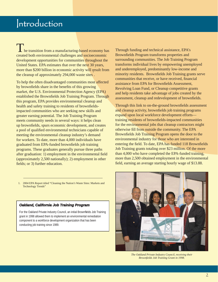# Introduction

**The transition from a manufacturing-based economy has** created both environmental challenges and socioeconomic development opportunities for communities throughout the United States. EPA estimates that over the next 30 years, more than \$200 billion in economic activity will result from <sup>1</sup> the cleanup of approximately 294,000 waste sites .

To help the often disadvantaged communities most affected by brownfields share in the benefits of this growing market, the U.S. Environmental Protection Agency (EPA) established the Brownfields Job Training Program. Through this program, EPA provides environmental cleanup and health and safety training to residents of brownfieldsimpacted communities who are seeking new skills and greater earning potential. The Job Training Program meets community needs in several ways: it helps clean up brownfields, spurs economic development, and creates a pool of qualified environmental technicians capable of meeting the environmental cleanup industry's demand for workers. To date, more than 4,000 individuals have graduated from EPA-funded brownfields job training programs. These graduates generally pursue three paths after graduation: 1) employment in the environmental field (approximately 2,500 nationally); 2) employment in other fields; or 3) further education.

1. 2004 EPA Report titled "Cleaning the Nation's Waste Sites: Markets and Technology Trends"

### *Oakland, California Job T akland, Training Program aining Program*

For the Oakland Private Industry Council, an initial Brownfields Job Training grant in 1998 allowed them to implement an environmental remediation component to a workforce development organization that has been conducting job training since 1989.

Through funding and technical assistance, EPA's Brownfields Program transforms properties and surrounding communities. The Job Training Program transforms individual lives by empowering unemployed and underemployed, predominantly low-income and minority residents. Brownfields Job Training grants serve communities that receive, or have received, financial assistance from EPA for Brownfields Assessment. Revolving Loan Fund, or Cleanup competitive grants and help residents take advantage of jobs created by the assessment, cleanup and redevelopment of brownfields.

Through this link to on-the-ground brownfields assessment and cleanup activity, brownfields job training programs expand upon local workforce development efforts training residents of brownfields-impacted communities for the environmental jobs that cleanup contractors might otherwise fill from outside the community. The EPA Brownfields Job Training Program opens the door to the environmental industry for those who are interested in entering the field. To date, EPA has funded 118 Brownfields Job Training grants totaling over \$23 million. Of the more than 4,000 who have completed the EPA-funded training, more than 2,500 obtained employment in the environmental field, earning an average starting hourly wage of \$13.88.



*The Oakland Private Industry Council, receiving their Brownfi elds Job Training Grant in 1998.*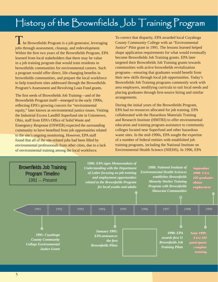# History of the Brownfields Job Training Program

I he Brownfields Program is a job generator, leveraging jobs through assessment, cleanup, and redevelopment. Within the first two years of the Brownfields Program, EPA learned from local stakeholders that there may be value in a job training program that would train residents in brownfields communities for environmental careers. Such a program would offer direct, life-changing benefits in brownfields communities, and prepare the local workforce to help transform sites addressed through the Brownfields Program's Assessment and Revolving Loan Fund grants.

The first seeds of Brownfields Job Training—and of the Brownfields Program itself—emerged in the early 1990s, reflecting EPA's growing concern for "environmental equity," later known as environmental justice issues. Visiting the Industrial Excess Landfill Superfund site in Uniontown, Ohio, staff from EPA's Office of Solid Waste and Emergency Response (OSWER) expected the surrounding community to have benefited from job opportunities related to the site's ongoing monitoring. However, EPA staff found that all of the site-related jobs had been filled by environmental professionals from other cities, due to a lack of environmental training among the local workforce.

To correct that disparity, EPA awarded local Cuyahoga County Community College with an "Environmental Justice" Pilot grant in 1991. The lessons learned helped shape application requirements for what would eventually become Brownfields Job Training grants. EPA later targeted their Brownfields Job Training grants towards communities with active brownfields revitalization programs—ensuring that graduates would benefit from their new skills through local job opportunities. Today's Brownfields Job Training programs commonly work with area employers, modifying curricula to suit local needs and placing graduates through first-source hiring and similar arrangements.

During the initial years of the Brownfields Program, EPA had no resources allocated for job training. EPA collaborated with the Hazardous Materials Training and Research Institute (HMTRI) to offer environmental education and training program assistance to community colleges located near Superfund and other hazardous waste sites. In the mid-1990s, EPA sought the expertise of a number of federal entities with established job training programs, including the National Institute on Environmental Health Science (NIEHS). In 1996, EPA

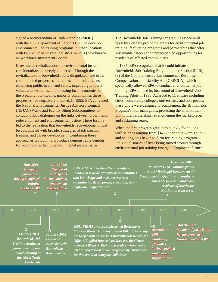signed a Memorandum of Understanding (MOU) with the U.S. Department of Labor (DOL), to develop environmental job training programs in urban locations with DOL-funded Private Industry Councils (now known as Workforce Investment Boards).

Brownfields revitalization and environmental justice considerations are deeply connected. Through the revitalization of brownfields, idle, dilapidated, and often contaminated properties are returned to productive use, enhancing public health and safety, improving property values and aesthetics, and boosting local economies in the typically low-income, minority communities these properties had negatively affected. In 1995, EPA convened the National Environmental Justice Advisory Council (NEJAC) Waste and Facility Siting Subcommittee, to conduct public dialogues on the links between brownfields redevelopment and environmental justice. These forums led to the realization that brownfields redevelopment must be coordinated with broader strategies of job creation, training, and career development. Combining these approaches would in turn produce demonstrable benefits for communities facing environmental justice issues.

The Brownfields Job Training Program has since built upon this idea by providing grants for environmental job training, facilitating programs and partnerships that offer sustainable careers and unprecedented opportunities for residents of affected communities.

In 1997, EPA recognized that it could initiate a Brownfields Job Training Program under Section 311(b) (9) of the Comprehensive Environmental Response, Compensation and Liability Act (CERCLA), which specifically allowed EPA to conduct environmental job training. EPA funded its first round of Brownfields Job Training Pilots in 1998. Awarded to 11 entities including cities, community colleges, universities, and non-profits, these pilots were designed to complement the Brownfields Program's four main goals: protecting the environment, promoting partnerships, strengthening the marketplace, and sustaining reuse.

When the first program graduates quickly found jobs with salaries ranging from \$14-30 per hour, word got out, and waiting lists began to form for training programs. Individual stories of lives being turned around through environmental job training emerged. Employers formed

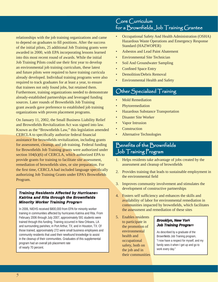relationships with the job training organizations and came to depend on graduates to fill positions. After the success of the initial pilots, 25 additional Job Training grants were awarded in 2000, with EPA incorporating lessons learned into this most recent round of awards. While the initial Job Training Pilots could use their first year to develop an environmental job training curriculum, these latest and future pilots were required to have training curricula already developed. Individual training programs were also required to track graduates for at least a year, to ensure that trainees not only found jobs, but retained them. Furthermore, training organizations needed to demonstrate already-established partnerships and leveraged funding sources. Later rounds of Brownfields Job Training grant awards gave preference to established job training organizations with proven placement programs.

On January 11, 2002, the Small Business Liability Relief and Brownfields Revitalization Act was signed into law. Known as the "Brownfields Law," this legislation amended CERCLA to specifically authorize federal financial assistance for brownfields revitalization, including grants for assessment, cleanup, and job training. Federal funding for Brownfields Job Training grants were authorized under section 104(k)(6) of CERCLA, which authorized EPA to provide grants for training to facilitate site assessment, remediation of brownfields sites, or site preparation. For the first time, CERCLA had included language specifically authorizing Job Training Grants under EPA's Brownfields Program.

### *Training Residents Affected by Hurricanes* **Katrina and Rita through the Brownfields** *Minority Worker Training Program*

In 2006, NIEHS received \$800,000 from EPA for minority worker training in communities affected by hurricanes Katrina and Rita. From February 2006 through July 2007, approximately 591 students were trained through this funding. Training occurred in New Orleans, LA and surrounding parishes; in Port Arthur, TX; and in Houston, TX. Of those trained, approximately 272 were small business employees and community residents that used their newfound knowledge to assist in the cleanup of their communities. Graduates of this supplemental program had an overall job placement rate of nearly 70 percent.

# Core Curriculum  $for a Brown fields Job Training Grande$

- Occupational Safety And Health Administration (OSHA) Hazardous Waste Operations and Emergency Response Standard (HAZWOPER)
- Asbestos and Lead Paint Abatement
- Environmental Site Technician
- Soil And Groundwater Sampling
- Confined Space Entry
- Demolition/Debris Removal
- Environmental Health and Safety

# Other Specialized Training

- **Mold Remediation**
- **Phytoremediation**
- Hazardous Substance Transportation
- Disaster Site Worker
- **Vapor Intrusion**
- **Construction**
- Alternative Technologies

# Benefits of the Brownfields Job Training Program

- 1. Helps residents take advantage of jobs created by the assessment and cleanup of brownfields
- 2. Provides training that leads to sustainable employment in the environmental field
- 3. Improves community involvement and stimulates the development of constructive partnerships
- 4. Fosters self sufficiency and enhances the skills and availability of labor for environmental remediation in communities impacted by brownfields, which facilitates the assessment and remediation of these sites
- 5. Enables residents to participate in the promotion of environmental health and occupational safety, both on the job and in their communities

### **Brooklyn, New York** *Job Training Program*

As described by a graduate of the Brownfields Job Training program, "I now have a respect for myself, and my family sees it when I get up and go to work every day."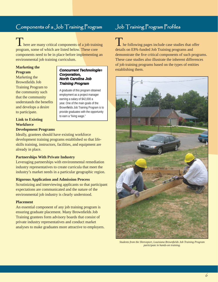# Components of a Job Training Program Job Training Program Profiles

**There are many critical components of a job training** program, some of which are listed below. These core components need to be in place before implementing an environmental job training curriculum.

## **Marketing the**

### **Program**

Marketing the Brownfields Job Training Program to the community such that the community understands the benefits and develops a desire to participate.

### *Concurrent Technologies* Corporation, **North Carolina Job Training Program**

A graduate of this program obtained employment as a project manager earning a salary of \$42,000 a year. One of the main goals of the Brownfields Job Training Program is to provide graduates with the opportunity to earn a "living wage."

### **Link to Existing Workforce Development Programs**

Ideally, grantees should have existing workforce development training programs established so that lifeskills training, instructors, facilities, and equipment are already in place.

### **Partnerships With Private Industry**

Leveraging partnerships with environmental remediation industry representatives to create curricula that meet the industry's market needs in a particular geographic region.

### **Rigorous Application and Admission Process**

Scrutinizing and interviewing applicants so that participant expectations are communicated and the nature of the environmental job industry is clearly understood.

### **Placement**

An essential component of any job training program is ensuring graduate placement. Many Brownfields Job Training grantees form advisory boards that consist of private industry representatives and conduct market analyses to make graduates more attractive to employers.

**The following pages include case studies that offer** details on EPA-funded Job Training programs and demonstrate the five critical components of such programs. These case studies also illustrate the inherent differences of job training programs based on the types of entities establishing them.



*Students from the Shreveport, Louisiana Brownfields Job Training Program participate in hands-on training.*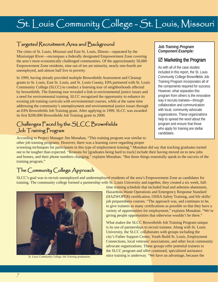# St. Louis Community College - St. Louis, Missouri

# Targeted Recruitment Area and Background

The cities of St. Louis, Missouri and East St. Louis, Illinois—separated by the Mississippi River—encompass a federally designated Empowerment Zone covering the area's most economically challenged communities. Of the approximately 50,000 Empowerment Zone residents, nine out of ten are minority, nearly one-fourth are unemployed, and almost half live in poverty.

In 1999, having already provided multiple Brownfields Assessment and Cleanup grants to St. Louis, East St. Louis, and St. Louis County, EPA partnered with St. Louis Community College (SLCC) to conduct a listening tour of neighborhoods affected by brownfields. The listening tour revealed a link to environmental justice issues and a need for environmental training. SLCC recognized the opportunity to enhance its existing job training curricula with environmental courses, while at the same time addressing the community's unemployment and environmental justice issues through an EPA Brownfields Job Training grant. After applying in 1999, SLCC was awarded its first \$200,000 Brownfields Job Training grant in 2000.

# Challenges Faced by the SLCC Brownfields Job Training Program

According to Project Manager Jim Monahan, "This training program was similar to other job training programs. However, there was a learning curve regarding proper

screening techniques for participants in this type of employment training." Monahan did say that tracking graduates turned out to be tougher than expected. "Reasons for [graduates being hard to track] include their having moved on to new jobs and homes, and their phone numbers changing," explains Monahan. "But those things essentially speak to the success of the training program."

# The Community College Approach

SLCC's goal was to recruit unemployed and underemployed residents of the area's Empowerment Zone as candidates for training. The community college formed a partnership with St. Louis University and together, they created a six week, full-



*St. Louis Community College Job Training graduation.* 

*Job Training Program Component Example:* 

## $\boxtimes$  Marketing the Program

As with all of the case studies included in this report, the St. Louis Community College Brownfields Job Training Program incorporates all of the components required for success. However, what separates this program from others is the innovative way it recruits trainees—through collaboration and communication with local, community advocate organizations. These organizations help to spread the word about the program and ensure that those who apply for training are stellar candidates.

time training schedule that included lead and asbestos abatement, Hazardous Waste Operations and Emergency Response Standard (HAZWOPER) certification, OSHA Safety Training, and life skills/ job preparedness courses. "The approach was, and continues to be, to give trainees as many certifications as possible so that they have a variety of opportunities for employment," explains Monahan. "We're giving people opportunities that otherwise wouldn't be there."

What makes the SLCC Brownfields Job Training Program unique is its use of partnerships to recruit trainees. Along with St. Louis University, the SLCC collaborates with groups including the city's Father Support Center, Youth Build St. Louis, Employment Connections, local veterans' associations, and other local community advocate organizations. These groups refer potential trainees to the SLCC program and offer continued, specialized assistance once training is underway. "We have an advantage, because the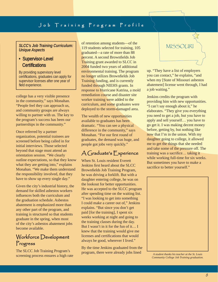### • Supervisor-Level **Certifications**

By providing supervisory level certifications, graduates can apply for supervisor licenses after one year of field experience.

college has a very visible presence in the community," says Monahan. "People feel they can approach us, and community groups are always willing to partner with us. The key to the program's success has been our partnerships in the community."

Once referred by a partner organization, potential trainees are screened before being called in for initial interviews. Those selected beyond that stage must attend an orientation session. "We clearly outline expectations, so that they know what they are getting into," explains Monahan. "We make them understand the responsibility involved, that they have to show up every single day."

Given the city's industrial history, the demand for skilled asbestos workers influences both the curriculum and the graduation schedule. Asbestos abatement is emphasized more than any other part of the program, and training is structured so that students graduate in the spring, when most of the city's asbestos abatement jobs become available.

# Workforce Development Progress

The SLCC Job Training Program's screening process ensures a high rate

**SLCC's Job Training Curriculum:**  $\begin{bmatrix} 0 & \text{b} \\ 119 & \text{students selected for training, } 105 \end{bmatrix}$  MISSOURI *Unique Aspects* of retention among students—of the 119 students selected for training, 105 graduated—a rate of more than 88 percent. A second Brownfields Job Training grant awarded to SLCC in 2004 funded two years of additional environmental training. The program no longer utilizes Brownfields Job Training funding, and is currently funded through NIEHS grants. In response to Hurricane Katrina, a mold remediation course and disaster site worker training were added to the curriculum, and some graduates were deployed to the storm-damaged area.

> The wealth of new opportunities available to graduates has been dramatic. "You can see a physical difference in the community," says Monahan. "For our first round of graduates, the demand was huge, and people got jobs very quickly."

# $\bigwedge$  Graduate's  $\mathsf{Experience}$

When St. Louis resident Everett Jenkins first heard about the SLCC Brownfields Job Training Program, he was driving a forklift. But with a daughter entering college, he was on the lookout for better opportunities. He was accepted to the SLCC program after spending time on the waiting list. "I was looking to get into something I could make a career out of," Jenkins explains. "But since you don't get paid [for the training], I spent six weeks working at night and going to the training classes during the day. But I wasn't in it for the fun of it… I knew that the training would give me licenses and certifications that would always be good, wherever I lived."

By the time Jenkins graduated from the program, there were already jobs lined



up. "They have a list of employers you can contact," he explains, "and when my [State of Missouri asbestos abatement] license went through, I had a job waiting."

Jenkins credits the program with providing him with new opportunities. "I can't say enough about it," he elaborates. "They give you everything you need to get a job, but you have to apply and sell yourself… you have to go get it. I was making decent money before, getting by, but nothing like now that I'm in the union. With my daughter going to college, it allowed me to get the things that she needed and take some of the pressure off. The training was a sacrifice… taking it while working full-time for six weeks. But sometimes you have to make a sacrifice to better yourself."



*A student thanks his teacher at the St. Louis Community College Job Training graduation.*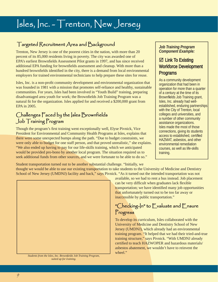# $|s|$ es,  $|nc. - T$ renton,  $New$  Jersey

# Targeted Recruitment Area and Background<br>Trenton. New Jersey is one of the poorest cities in the nation, with more than 20 *Job Training Program*

Trenton, New Jersey is one of the poorest cities in the nation, with more than 20 percent of its 85,000 residents living in poverty. The city was awarded one of EPA's earliest Brownfields Assessment Pilot grants in 1997, and has since received  $\Box$  Link To Existing additional EPA funding for brownfields assessment and cleanup. With more than a Workforce Development hundred brownfields identified in the city, there is a demand from local environmental Programs employers for trained environmental technicians to help prepare these sites for reuse.

Isles, Inc. is a non-profit community development and environmental organization that<br>was founded in 1981 with a mission that promotes self-reliance and healthy, sustainable<br>communities. For years, Isles had been involved disadvantaged area youth for work; the Brownfields Job Training Program was a **Brownfields Job Training grant**, natural fit for the organization. Isles applied for and received a \$200,000 grant from | Isles, Inc. already had well-EPA in 2005. established, enduring partnerships

# Challenges Faced by the Isles Brownfields **colleges** and universities, and universities, and universities, and Job Training Program

Though the program's first training went exceptionally well, Elyse Pivnick, Vice Isles made the most of those<br>President for Engineeranced and General is Helde Program of Isles and the data Connections, giving its students President for Environmental and Community Health Programs at Isles, explains that<br>there were some unexpected bumps along the path. "Due to budget constraints, we<br>were only able to budget for one staff person, and that prov "We also ended up having to pay for our life-skills training, which we anticipated courses, as well as life-skills would be provided pro-bono by another local program. The situation required us to  $\parallel$  training. seek additional funds from other sources, and we were fortunate to be able to do so."

with the City of Trenton, local a number of other community<br>assistance organizations.

Student transportation turned out to be another substantial challenge. "Initially, we thought we would be able to use our existing transportation to take students to the University of Medicine and Dentistry School of New Jersey (UMDNJ) facility and back," says Pivnick. "As it turned out the intended transportation was not



*Students from the Isles, Inc. Brownfields Job Training Program, suited up for training.* 

available, so we had to rent a bus instead. Job placement can be very difficult when graduates lack flexible transportation; we have identified many job opportunities that unfortunately turned out to be too far away or inaccessible by public transportation."

# "Checking- $\ln$ " to Evaluate and Ensure Progress

To develop its curriculum, Isles collaborated with the University of Medicine and Dentistry School of New Jersey (UMDNJ), which already had an environmental training program. "It helped that we had their tried-and-true training structure," says Pivnick. "With UMDNJ already certified to teach HAZWOPER and hazardous materials/ asbestos abatement, we wouldn't have to reinvent the wheel."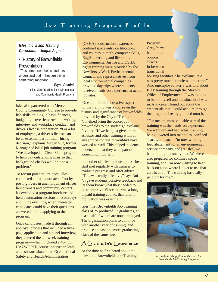*Isles, Inc.'s Job Training Curriculum: Unique Aspects* 

### • History of Brownfields **Presentation**

 "This component helps students understand that they are part of something important."

> – *Elyse Pivnick*  Isles' Vice President for Environmental and Community Health Programs

Isles also partnered with Mercer County Community College to provide life-skills training in basic finances, budgeting, cover letter/resume writing, interview and workplace conduct, and driver's license preparation. "For a lot of employers, a driver's license can be an essential part of their [hiring] decision," explains Megan Ruf, former Manager of Isles' job training program. "We developed a 'Clean Slate' program to help pay outstanding fines so that background checks wouldn't be a problem."

To recruit potential trainees, Isles conducted a broad outreach effort by posting flyers in unemployment offices, laundromats and community centers. It developed a program brochure and held information sessions on Saturdays and in the evenings, when interested candidates could have their questions answered before applying to the program.

Once candidates made it through an approval process that included a fivepage application and a panel interview, they entered the ten-week training program—which included a 40-hour HAZWOPER course; courses in lead and asbestos abatement; Occupational Safety and Health Administration

(OSHA) construction awareness; confined space entry certification; and courses in math, computer skills, English, writing and life skills. Environmental Justice and OSHA rights training were provided by the New Jersey Work Environmental Council, and representatives from local environmental companies provided day trips where students received hands-on experience at actual job sites.

One additional, innovative aspect of the training was a course on the history and significance of brownfields, provided by the City of Trenton. "It helped bring the concept of brownfields to the students," explains Pivnick. "If we had just given them asbestos and other training without any sort of context, it wouldn't have worked as well. This helped students understand that they were part of something important."

In another of Isles' unique approaches, staff met regularly with trainees to evaluate progress and offer advice. "This was really effective," says Ruf. "It gave students positive feedback and let them know what they needed to do to improve. Since this was a long, unpaid training course, that kind of motivation was essential."

Isles' first Brownfields Job Training class of 25 produced 23 graduates, at least half of whom are now employed. The organization plans to continue with another year of training, and produce at least one more graduating class of the same size.

# $A$  Graduate's  $E$ xperience

At the time he first heard about the Isles, Inc. Brownfields Job Training

Program, Greg Perry had limited options. "I was in-between transitional

housing facilities," he explains, "So I was pretty much homeless at the time." Also unemployed, Perry was told about Isles' training through the Mayor's Office of Employment. "I was looking to better myself and the situation I was in. And once I found out about the credentials that I could acquire through the program, I really grabbed onto it.

JERSEY

"For me, the most valuable part of the training was the hands-on experience. We went out and had actual training, being lowered into manholes, confined spaces, and such. I'm now working in lead abatement for an environmental service company, and [at Isles] we had training in exactly that. We were also prepared for confined space training, and I'm now waiting to hear back on a job where I'd get to use that certification. The training has really paid off for me."



*Soil analysis taking place at the Isles, Inc. Brownfields Job Training Program.*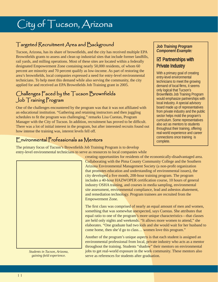# City of Tucson, Arizona

# Targeted Recruitment Area and Background<br>
Background *Job Training Program*<br>
Component Example:

Tucson, Arizona, has its share of brownfields, and the city has received multiple EPA Brownfields grants to assess and clean up industrial sites that include former landfills,  $\Box$  **Partnerships with** rail yards, and milling operations. Most of these sites are located within a federally designated Empowerment Zone containing nearly 50,000 residents, of whom 60 **Private Industry** percent are minority and 70 percent qualify as low-income. As part of restoring the<br>area's brownfields, local companies expressed a need for entry-level environmental<br>technicians. To help meet this demand while also servin

# Challenges Faced by the Tucson Brownfields **Fuck** Brownfields Brownfields Brownfields Job Training Program  $Job$  Training Program

One of the challenges encountered by the program was that it was not affiliated with board made up of representatives<br>an educational institution "Gathering and retaining instructors and then inggling from private industry an educational institution. "Gathering and retaining instructors and then juggling from private industry and the public schedules to fit the program was challenging intervals I is a Cuestas Program schedules to fit the program was challenging," remarks Lisa Cuestas, Program sector helps mold the program's<br>Manager with the City of Tuesan, In addition, requirement has proved to be difficult. Manager with the City of Tucson. In addition, recruitment has proved to be difficult. Curriculum. Some representative There was a lot of initial interest in the program, but after interested recruits found out  $\frac{1}{2}$  throughout their training, offering how intense the training was, interest levels fell off.

# Environmental Professionals as Mentors and as media as media as media as  $\vert$  connection

The primary focus of Tucson's Brownfields Job Training Program is to develop entry-level environmental technicians to serve as resources to local companies while



*Students in Tucson, Arizona, gaining field experience.* 

creating opportunities for residents of the economically-disadvantaged area. Collaborating with the Pima County Community College and the Southern Arizona Environmental Management Society (a non-profit organization that promotes education and understanding of environmental issues), the city developed a five month, 208-hour training program. The program includes a 40-hour HAZWOPER certification course, 10 hours of general industry OSHA training, and courses in media sampling, environmental site assessment, environmental compliance, lead and asbestos abatement, and remediation technology. Program trainees are recruited from the Empowerment Zone.

The first class was comprised of nearly an equal amount of men and women, something that was somewhat unexpected, says Cuestas. She attributes that equal ratio to one of the program's more unique characteristics—that classes are held only nights and weekends. "It allows more women to attend," she elaborates. "One graduate had two kids and she would wait for her husband to come home, then she'd go to class… women love this program."

Another of the program's unique aspects is that each student is assigned an environmental professional from local, private industry who acts as a mentor throughout the training. Students "shadow" their mentors on environmental jobs to get real-world exposure in the work community. These mentors also serve as references for students after graduation.

only logical that Tucson's local industry. A special advisory real-world experience and career connections once training is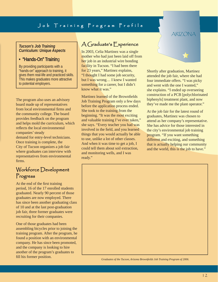*Tucson's Job Training Curriculum: Unique Aspects* 

### • "Hands-On" Training

By providing participants with a "hands-on" approach to training, it gives them real-life and practiced skills. This makes graduates more attractive to potential employers.

The program also uses an advisory board made up of representatives from local environmental firms and the community college. The board provides feedback on the program and helps mold the curriculum, which reflects the local environmental companies' steady demand for entry-level technicians. Once training is complete, the City of Tucson organizes a job fair where graduates can interview with representatives from environmental firms.

## Workforce Development Progress

At the end of the first training period, 16 of the 17 enrolled students graduated. Nearly 90 percent of those graduates are now employed. There has since been another graduating class of 10 and at the last post-graduation job fair, three former graduates were recruiting for their companies.

One of those graduates had been assembling bicycles prior to joining the training program. After the program, he found a position with an environmental company. He has since been promoted, and the company is looking to hire another of the program's graduates to fill his former position.

# A Graduate's Experience

In 2003, Celia Martinez was a single mother who had just been laid off from her job in an industrial wire bonding facility in Tucson. "I had been there for 23 years," Martinez explains, "I thought I had some job security, but I was wrong… I knew I wanted something for a career, but I didn't know what it was."

Martinez learned of the Brownfields Job Training Program only a few days before the application process ended. She took to the training from the beginning. "It was the most exciting and valuable training I've ever taken," she says. "Every teacher you had was involved in the field, and you learned things that you would actually be able to use, unlike a lot of other classes. And when it was time to get a job, I could tell them about soil extraction, and monitoring wells, and I was ready."



Shortly after graduation, Martinez attended the job fair, where she had four immediate offers. "I was picky and went with the one I wanted," she explains. "I ended up overseeing construction of a PCB [polychlorinated biphenyls] treatment plant, and now they've made me the plant operator."

At the job fair for the latest round of graduates, Martinez was chosen to attend as her company's representative. She has advice for those interested in the city's environmental job training program. "If you want something different and exciting, and something that is actually helping our community and the world, this is the job to have."



*Graduates of the Tucson, Arizona Brownfields Job Training Program of 2006.*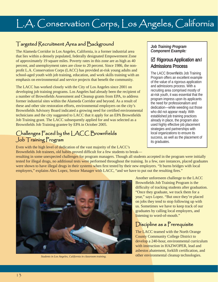# L.A. Conservation Corps, Los Angeles, California

# Targeted Recruitment Area and Background

The Alameda Corridor in Los Angeles, California, is a former industrial area that lies within a densely populated, federally designated Empowerment Zone of approximately 19 square miles. Poverty rates in this zone are as high as 40 percent, and unemployment rates are close to 20 percent. Since 1986, the nonprofit L.A. Conservation Corps (LACC) has provided at-risk young adults and school-aged youth with job training, education, and work skills training with an emphasis on environmental and service projects that benefit the community.

The LACC has worked closely with the City of Los Angeles since 2001 on developing job training programs. Los Angeles had already been the recipient of a number of Brownfields Assessment and Cleanup grants from EPA, to address former industrial sites within the Alameda Corridor and beyond. As a result of these and other site restoration efforts, environmental employers on the city's Brownfields Advisory Board indicated a growing need for certified environmental technicians and the city suggested to LACC that it apply for an EPA Brownfields Job Training grant. The LACC subsequently applied for and was selected as a Brownfields Job Training grantee by EPA in October 2005.

# Challenges Faced by the LACC Brownfields  $Job$   $T$ raining  $P$ rogram

Even with the high level of dedication of the vast majority of the LACC's Brownfields Job trainees, old habits proved difficult for a few students to break—

### *Job Training Program Component Example:*

## $\boxtimes$  Rigorous Application and **Admissions Process**

The LACC Brownfields Job Training Program offers an excellent example of the value of a rigorous application and admissions process. With a recruiting area comprised mostly of at-risk youth, it was essential that the program impress upon its applicants the need for professionalism and dedication—while weeding out those who did not appear ready. With established job training practices already in place, the program also used highly effective job placement strategies and partnerships with local organizations to ensure its success, as well as the placement of its graduates.

resulting in some unexpected challenges for program managers. Though all students accepted in the program were initially tested for illegal drugs, no additional tests were performed throughout the training. In a few, rare instances, placed graduates were shown to have illegal drugs in their systems when first tested by their new employers. "It burns bridges with local employers," explains Alex Lopez, Senior Manager with LACC, "and we have to put out the resulting fires."



Another unforeseen challenge to the LACC Brownfields Job Training Program is the difficulty of tracking students after graduation. "Once they graduate, we track them for a year," says Lopez. "But once they're placed on jobs they tend to stop following up with us. Sometimes we have to keep track of our graduates by calling local employers, and listening to word-of-mouth."

# Discipline as a Prerequisite

The LACC teamed with the North Orange County Community College District to develop a 240-hour, environmental curriculum with instruction in HAZWOPER, lead and asbestos abatement, forklift certification, and *Students in Los Angeles, California in classroom training.* other environmental cleanup technologies.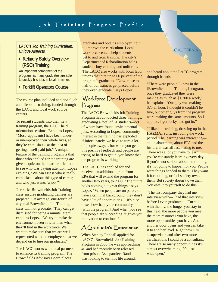*LACC's Job Training Curriculum: Unique Aspects* 

### • Refinery Safety Overview (RSO) Training

An important component of the program, as many graduates are able to quickly find jobs at local refineries.

• Forklift Operators Course

The course plan included additional job and life-skills training, funded through the LACC and local work source centers.

To recruit students into their new training program, the LACC held orientation sessions. Explains Lopez, "Most [applicants] have been underor unemployed their whole lives, so they're enthusiastic at the idea of getting a well-paid job." A unique feature of the training program is that those who applied for the training are given a quiz on their earlier orientation to see who was paying attention. Lopez explains, "We can assess who is really enthusiastic about this type of career, and who just wants 'a job.'"

The strict Brownfields Job Training class ensures graduating trainees are prepared. On average, one-fourth of a typical Brownfields Job Training class will not graduate. "They can get dismissed for being a minute late," explains Lopez. "We try to make the environment even stricter than what they'll find in the workforce. We want to make sure that we are well represented with the employers that we depend on to hire our graduates."

The LACC works with local partners to enhance its training program. The Brownfields Advisory Board places

graduates and obtains employer input to improve the curriculum. Local workforce centers help students get to and from training. The city's Department of Rehabilitation helps students buy clothing and uniforms. The LACC also works with local labor unions that hire up to 60 percent of the program's graduates. "Now, close to half of our trainees get placed before they even graduate," says Lopez.

# Workforce Development Progress

The LACC Brownfields Job Training Program has conducted three trainings, graduating a total of 61 students—59 of whom have found environmental jobs. According to Lopez, community interest in the training has exploded. "Unfortunately, we have to turn a lot of people away… but when you get all this positive feedback and people are trying so hard to get in, you know that the program is working."

The LACC has applied for and received an additional grant from EPA that will extend the program for another two years, to 2009. "The future holds nothing but great things," says Lopez. "When people are on parole or have a criminal background, they don't have a lot of opportunities... it's nice to see how happy the community is [with the program]. And when you see that people are succeeding, it gives you motivation to continue."

## $A$  Graduate's  $E$ xperience

When Stanley Randall applied for LACC's Brownfields Job Training Program in 2006, he was approaching 40 and had recently been released from prison. As a parolee, Randall was looking to turn his life around,

and heard about the LACC program through friends.

CALIFORNIA

"There were people I knew in the [Brownfields Job Training] program, once they graduated they were making as much as \$1,300 a week," he explains. "One guy was making \$75 an hour. I thought it couldn't be true, but other guys from the program were making the same amounts. So I applied, I got lucky, and got in."

"I liked the training, dressing up in the HAZMAT suits, just doing the work, period. The learning was interesting about abatement, about EPA and the history, it was all fascinating to me. There was a lot you have to learn, you're constantly learning every day… if you're not serious about the training, it's not going to happen for you. People want things handed to them. They want it for nothing, or feel society owes them. But society doesn't owe them. You owe it to yourself to do this.

"The first company they had me interview with—I had that interview before I even graduated—I'm still with them… the longer you stay in this field, the more people you meet, the more resources you have, the more opportunities you have. And another door opens and you can take it to another level. Right now I'm a supervisor, and after two more certifications I could be a consultant. There are so many opportunities it's almost overwhelming. It's just wide open."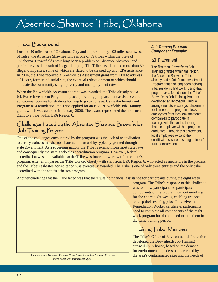Tribal Background *Job Training Program*  Located 40 miles east of Oklahoma City and approximately 102 miles southwest of Tulsa, the Absentee Shawnee Tribe is one of 39 tribes within the State of Oklahoma. Brownfields have long been a problem on Absentee Shawnee land,  $\Box$  Placement particularly as the result of illegal dumping. The Tribe has identified more than  $30$  The first tribal Brownfields Job illegal dump sites, some of which are slated to be cleaned up with EPA assistance.  $\vert$  Training grantee within the region, In 2004, the Tribe received a Brownfields Assessment grant from EPA to address | the Absentee Shawnee Tribe a 21-acre, former industrial site, the eventual redevelopment of which should already had a Job Force Investment alleviate the community's high poverty and unemployment rates.<br>Program that had long been helping<br>ribal residents find work. Using that

When the Brownfields Assessment grant was awarded, the Tribe already had a program as a foundation, the Tribe's Job Force Investment Program in place, providing job placement assistance and <br>Brownfields Job Training Program educational courses for students looking to go to college. Using the Investment developed an innovative, unique Program as a foundation, the Tribe applied for an EPA Brownfields Job Training arrangement to ensure job placement origin to the straining arrangement to ensure job placement origin at the straining arrangement of the stra grant, which was awarded in January 2006. The award represented the first such for trainees: the program allows<br>
employees from local environmental grant to a tribe within EPA Region 6.

# Challenges Faced by the Absentee Shawnee Brownfields | training, with the understanding<br>that the employer will hire program Job Training Program graduates. Through this agreement,

One of the challenges encountered by the program was the lack of accreditation<br>to certify trainees in asbestos abatement—an ability typically granted through<br>future employment. state government. As a sovereign nation, the Tribe is exempt from most state laws and consequently the state's asbestos accreditation program. However, federal accreditation was not available, so the Tribe was forced to work within the state's

companies to participate in

program. After an impasse, the Tribe worked closely with staff from EPA Region 6, who acted as mediators in the process, and the Tribe's asbestos accreditation was eventually awarded. The Tribe is one of only three entities and the only tribe accredited with the state's asbestos program.

Another challenge that the Tribe faced was that there was no financial assistance for participants during the eight week



program. The Tribe's response to this challenge was to allow participants to participate in components of the program without enrolling for the entire eight weeks, enabling trainees to keep their existing jobs. To receive the Remediation Worker certificate, participants need to complete all components of the eight week program but do not need to take them in the same training period.

# $T$ raining  $T$ ribal Members

The Tribe's Office of Environmental Protection developed the Brownfields Job Training curriculum in-house, based on the demand for environmental professionals created by the area's contaminated sites and the needs of

*Students in the Absentee Shawnee Tribe Brownfields Job Training Program learn decontamination techniques.*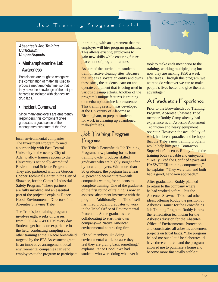*Absentee's Job Training Curriculum: Unique Aspects* 

### • Methamphetamine Lab Awareness

Participants are taught to recognize the combination of materials used to produce methamphetamine, so that they have the knowledge of the unique hazards associated with clandestine drug labs.

### • Incident Command

Since many employers are emergency responders, this component gives graduates a good sense of the management structure of the field.

local environmental companies. The Investment Program formed a partnership with East Central University in the nearby City of Ada, to allow trainees access to the University's nationally accredited Environmental Science Program. They also partnered with the Gordon Cooper Technical Center in the City of Shawnee, for the Center's Industrial Safety Program. "These partners are fully involved and an essential part of the project," explains Renee Hood, Environmental Director of the Absentee Shawnee Tribe.

The Tribe's job training program involves eight weeks of classes, from 9:00 AM – 4:00 PM every day. Students get hands-on experience in the field, conducting sampling and other training at the 21-acre brownfield targeted by the EPA Assessment grant. In an innovative arrangement, local environmental companies can send employees to the program to participate in training, with an agreement that the employer will hire program graduates. This allows existing employees to gain new skills while ensuring future placement of program trainees.

As part of the curriculum, students train on active cleanup sites. Because the Tribe is a sovereign entity and owns these sites, the students learn on and operate equipment that is being used in various cleanup efforts. Another of the program's unique features is training on methamphetamine lab awareness. This training session was developed at the University of Alabama at Birmingham, to prepare students for work in cleaning up abandoned, makeshift labs.

## $Job$   $T$ raining  $Program$ Progress

The Tribe's Brownfields Job Training Program, now planning for its fourth training cycle, produces skilled graduates who are highly sought after by local employers. With more than 30 graduates, the program has a near 76 percent placement rate—with companies waiting for students to complete training. One of the graduates of the first round of training is now an asbestos abatement instructor with the program. Additionally, the Tribe itself has hired program graduates to work in the Tribal Office of Environmental Protection. Some graduates are collaborating to start their own company—a Native American, environmental contracting firm.

"Tribal members like doing environmental work because they feel they are giving back something," explains Renee Hood. "We had students who were doing whatever it



took to make ends meet prior to the training, working multiple jobs; but now they are making \$850 a week after taxes. Through this program, we want to do whatever we can to make people's lives better and give them an advantage."

# $A$  Graduate's  $E$ xperience

Prior to the Brownfields Job Training Program, Absentee Shawnee Tribal member Roddy Camp already had experience as an Asbestos Abatement Technician and heavy equipment operator. However, the availability of work had been sporadic, and he hoped that the Tribe's new training program would help him get a Contractor/ Supervisor's license. Roddy found the training both valuable and enjoyable. "I really liked the Confined Space and HAZWOPER training components," he explains. "They were fun, and both had a good, hands-on approach."

After graduation, Roddy planned to return to the company where he had worked before—but the Absentee Shawnee Tribe had other ideas, offering Roddy the position of Asbestos Trainer for the Brownfields Job Training Program. Roddy is now the remediation technician for the Asbestos division for the Absentee Office of Environmental Protection, and coordinates all asbestos abatement projects on tribal lands. "The program helped me out a lot," he elaborates. "I have three children, and the program allowed me to purchase a home and become more financially stable."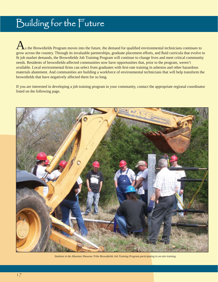# Building for the Future

s the Brownfields Program moves into the future, the demand for qualified environmental technicians continues to grow across the country. Through its invaluable partnerships, graduate placement efforts, and fluid curricula that evolve to fit job market demands, the Brownfields Job Training Program will continue to change lives and meet critical community needs. Residents of brownfields-affected communities now have opportunities that, prior to the program, weren't available. Local environmental firms can select from graduates with first-rate training in asbestos and other hazardous materials abatement. And communities are building a workforce of environmental technicians that will help transform the brownfields that have negatively affected them for so long.

If you are interested in developing a job training program in your community, contact the appropriate regional coordinator listed on the following page.



*Students in the Absentee Shawnee Tribe Brownfi elds Job Training Program participating in on-site training.*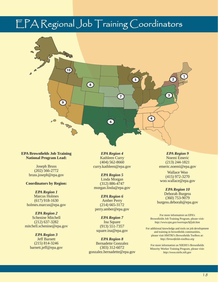# $EPA$  Regional Job  $T$ raining Coordinators



### **EPA Brownfields Job Training National Program Lead:**

Joseph Bruss (202) 566-2772 bruss.joseph@epa.gov

### **Coordinators by Region:**

*EPA Region 1* Marcus Holmes (617) 918-1630 holmes.marcus@epa.gov

*EPA Region 2* Schenine Mitchell (212) 637-3282 mitchell.schenine@epa.gov

> *EPA Region 3* Jeff Barnett (215) 814-3246 barnett.jeff@epa.gov

*EPA Region 4*  Kathleen Curry (404) 562-8660 curry.kathleen@epa.gov

*EPA Region 5* Linda Morgan (312) 886-4747 morgan.linda@epa.gov

*EPA Region 6*  Amber Perry (214) 665-3172 perry.amber@epa.gov

*EPA Region 7*  Ina Square (913) 551-7357 square.ina@epa.gov

*EPA Region 8* Bernadette Gonzalez (303) 312-6072 gonzalez.bernadette@epa.gov

*EPA Region 9*  Noemi Emeric (213) 244-1821 emeric.noemi@epa.gov

Wallace Woo (415) 972-3270 woo.wallace@epa.gov

*EPA Region 10* Deborah Burgess (360) 753-9079 burgess.deborah@epa.gov

For more information on EPA's Brownfields Job Training Program, please visit: *http://www.epa.gov/swerosps/bf/job.htm* 

For additional knowledge and tools on job development and training in brownfields communities, please visit HMTRI's Brownfields Toolbox at: *http://brownfi elds-toolbox.org* 

For more information on NIEHS's Brownfields Minority Worker Training Program, please visit: *http://www.niehs.nih.gov*